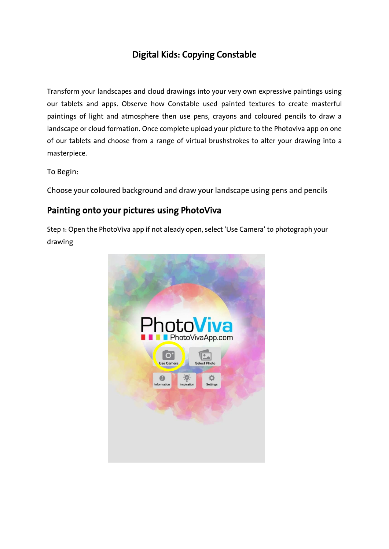## Digital Kids: Copying Constable

Transform your landscapes and cloud drawings into your very own expressive paintings using our tablets and apps. Observe how Constable used painted textures to create masterful paintings of light and atmosphere then use pens, crayons and coloured pencils to draw a landscape or cloud formation. Once complete upload your picture to the Photoviva app on one of our tablets and choose from a range of virtual brushstrokes to alter your drawing into a masterpiece.

To Begin:

Choose your coloured background and draw your landscape using pens and pencils

## Painting onto your pictures using PhotoViva

Step 1: Open the PhotoViva app if not aleady open, select 'Use Camera' to photograph your drawing

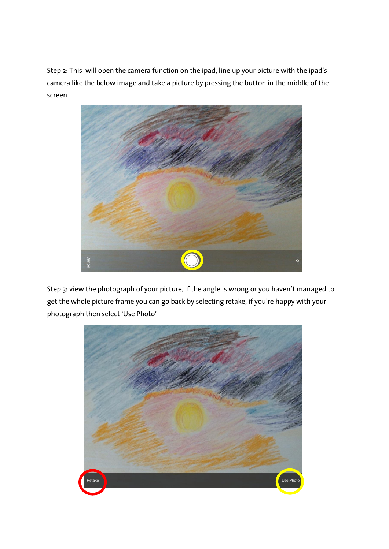Step 2: This will open the camera function on the ipad, line up your picture with the ipad's camera like the below image and take a picture by pressing the button in the middle of the screen



Step 3: view the photograph of your picture, if the angle is wrong or you haven't managed to get the whole picture frame you can go back by selecting retake, if you're happy with your photograph then select 'Use Photo'

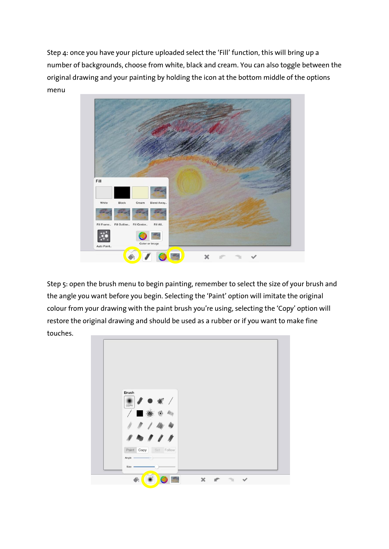Step 4: once you have your picture uploaded select the 'Fill' function, this will bring up a number of backgrounds, choose from white, black and cream. You can also toggle between the original drawing and your painting by holding the icon at the bottom middle of the options menu



Step 5: open the brush menu to begin painting, remember to select the size of your brush and the angle you want before you begin. Selecting the 'Paint' option will imitate the original colour from your drawing with the paint brush you're using, selecting the 'Copy' option will restore the original drawing and should be used as a rubber or if you want to make fine touches.

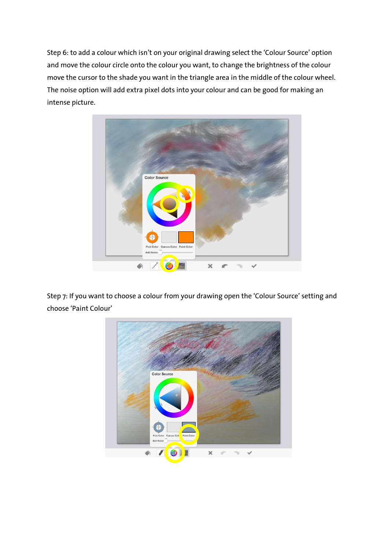Step 6: to add a colour which isn't on your original drawing select the 'Colour Source' option and move the colour circle onto the colour you want, to change the brightness of the colour move the cursor to the shade you want in the triangle area in the middle of the colour wheel. The noise option will add extra pixel dots into your colour and can be good for making an intense picture.



Step 7: If you want to choose a colour from your drawing open the 'Colour Source' setting and choose 'Paint Colour'

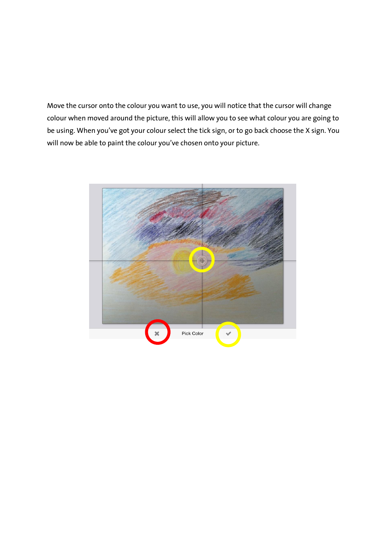Move the cursor onto the colour you want to use, you will notice that the cursor will change colour when moved around the picture, this will allow you to see what colour you are going to be using. When you've got your colour select the tick sign, or to go back choose the X sign. You will now be able to paint the colour you've chosen onto your picture.

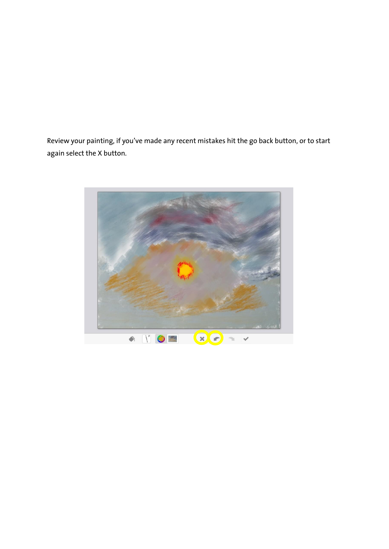Review your painting, if you've made any recent mistakes hit the go back button, or to start again select the X button.